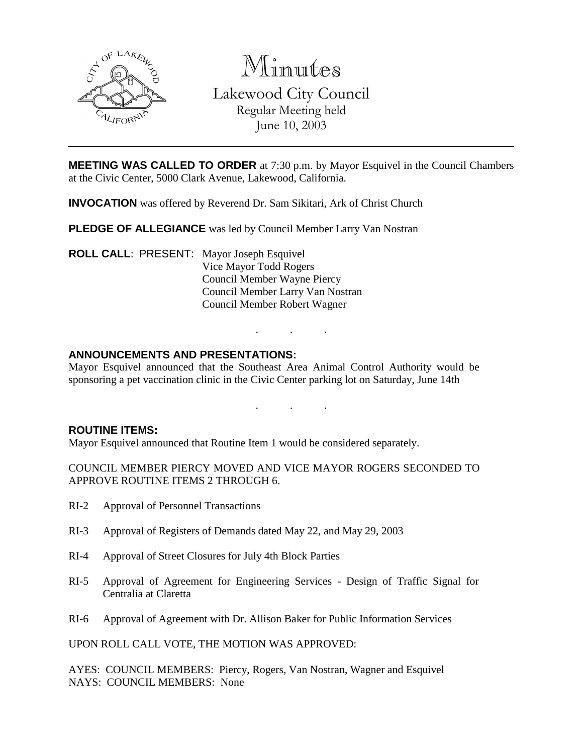

Minutes Lakewood City Council Regular Meeting held June 10, 2003

**MEETING WAS CALLED TO ORDER** at 7:30 p.m. by Mayor Esquivel in the Council Chambers at the Civic Center, 5000 Clark Avenue, Lakewood, California.

**INVOCATION** was offered by Reverend Dr. Sam Sikitari, Ark of Christ Church

**PLEDGE OF ALLEGIANCE** was led by Council Member Larry Van Nostran

**ROLL CALL**: PRESENT: Mayor Joseph Esquivel Vice Mayor Todd Rogers Council Member Wayne Piercy Council Member Larry Van Nostran Council Member Robert Wagner

## **ANNOUNCEMENTS AND PRESENTATIONS:**

Mayor Esquivel announced that the Southeast Area Animal Control Authority would be sponsoring a pet vaccination clinic in the Civic Center parking lot on Saturday, June 14th

. . .

. . .

#### **ROUTINE ITEMS:**

Mayor Esquivel announced that Routine Item 1 would be considered separately.

COUNCIL MEMBER PIERCY MOVED AND VICE MAYOR ROGERS SECONDED TO APPROVE ROUTINE ITEMS 2 THROUGH 6.

- RI-2 Approval of Personnel Transactions
- RI-3 Approval of Registers of Demands dated May 22, and May 29, 2003
- RI-4 Approval of Street Closures for July 4th Block Parties
- RI-5 Approval of Agreement for Engineering Services Design of Traffic Signal for Centralia at Claretta
- RI-6 Approval of Agreement with Dr. Allison Baker for Public Information Services

UPON ROLL CALL VOTE, THE MOTION WAS APPROVED:

AYES: COUNCIL MEMBERS: Piercy, Rogers, Van Nostran, Wagner and Esquivel NAYS: COUNCIL MEMBERS: None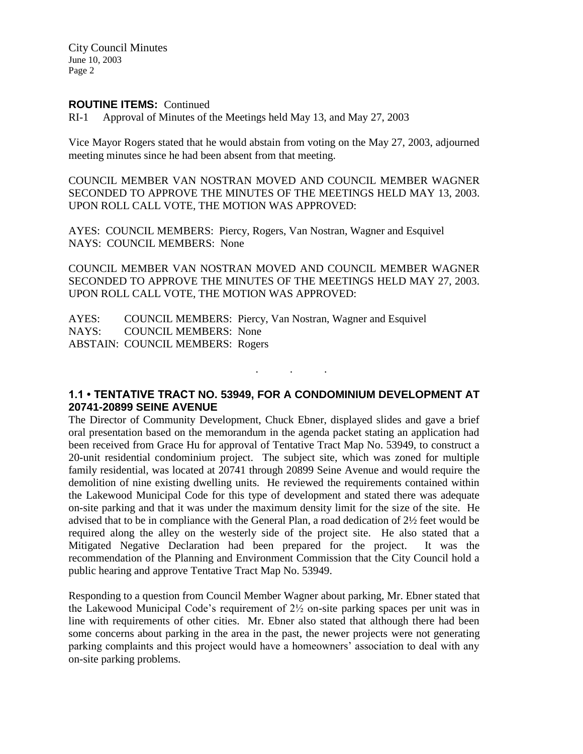City Council Minutes June 10, 2003 Page 2

#### **ROUTINE ITEMS:** Continued

RI-1 Approval of Minutes of the Meetings held May 13, and May 27, 2003

Vice Mayor Rogers stated that he would abstain from voting on the May 27, 2003, adjourned meeting minutes since he had been absent from that meeting.

COUNCIL MEMBER VAN NOSTRAN MOVED AND COUNCIL MEMBER WAGNER SECONDED TO APPROVE THE MINUTES OF THE MEETINGS HELD MAY 13, 2003. UPON ROLL CALL VOTE, THE MOTION WAS APPROVED:

AYES: COUNCIL MEMBERS: Piercy, Rogers, Van Nostran, Wagner and Esquivel NAYS: COUNCIL MEMBERS: None

COUNCIL MEMBER VAN NOSTRAN MOVED AND COUNCIL MEMBER WAGNER SECONDED TO APPROVE THE MINUTES OF THE MEETINGS HELD MAY 27, 2003. UPON ROLL CALL VOTE, THE MOTION WAS APPROVED:

AYES: COUNCIL MEMBERS: Piercy, Van Nostran, Wagner and Esquivel NAYS: COUNCIL MEMBERS: None ABSTAIN: COUNCIL MEMBERS: Rogers

## **1.1 • TENTATIVE TRACT NO. 53949, FOR A CONDOMINIUM DEVELOPMENT AT 20741-20899 SEINE AVENUE**

. . .

The Director of Community Development, Chuck Ebner, displayed slides and gave a brief oral presentation based on the memorandum in the agenda packet stating an application had been received from Grace Hu for approval of Tentative Tract Map No. 53949, to construct a 20-unit residential condominium project. The subject site, which was zoned for multiple family residential, was located at 20741 through 20899 Seine Avenue and would require the demolition of nine existing dwelling units. He reviewed the requirements contained within the Lakewood Municipal Code for this type of development and stated there was adequate on-site parking and that it was under the maximum density limit for the size of the site. He advised that to be in compliance with the General Plan, a road dedication of 2½ feet would be required along the alley on the westerly side of the project site. He also stated that a Mitigated Negative Declaration had been prepared for the project. It was the recommendation of the Planning and Environment Commission that the City Council hold a public hearing and approve Tentative Tract Map No. 53949.

Responding to a question from Council Member Wagner about parking, Mr. Ebner stated that the Lakewood Municipal Code's requirement of 2½ on-site parking spaces per unit was in line with requirements of other cities. Mr. Ebner also stated that although there had been some concerns about parking in the area in the past, the newer projects were not generating parking complaints and this project would have a homeowners' association to deal with any on-site parking problems.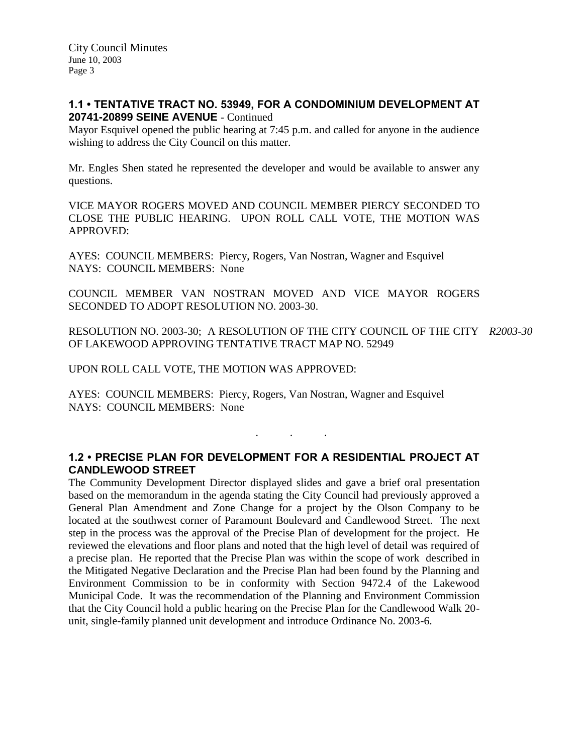## **1.1 • TENTATIVE TRACT NO. 53949, FOR A CONDOMINIUM DEVELOPMENT AT 20741-20899 SEINE AVENUE** - Continued

Mayor Esquivel opened the public hearing at 7:45 p.m. and called for anyone in the audience wishing to address the City Council on this matter.

Mr. Engles Shen stated he represented the developer and would be available to answer any questions.

VICE MAYOR ROGERS MOVED AND COUNCIL MEMBER PIERCY SECONDED TO CLOSE THE PUBLIC HEARING. UPON ROLL CALL VOTE, THE MOTION WAS APPROVED:

AYES: COUNCIL MEMBERS: Piercy, Rogers, Van Nostran, Wagner and Esquivel NAYS: COUNCIL MEMBERS: None

COUNCIL MEMBER VAN NOSTRAN MOVED AND VICE MAYOR ROGERS SECONDED TO ADOPT RESOLUTION NO. 2003-30.

RESOLUTION NO. 2003-30; A RESOLUTION OF THE CITY COUNCIL OF THE CITY *R2003-30* OF LAKEWOOD APPROVING TENTATIVE TRACT MAP NO. 52949

UPON ROLL CALL VOTE, THE MOTION WAS APPROVED:

AYES: COUNCIL MEMBERS: Piercy, Rogers, Van Nostran, Wagner and Esquivel NAYS: COUNCIL MEMBERS: None

# **1.2 • PRECISE PLAN FOR DEVELOPMENT FOR A RESIDENTIAL PROJECT AT CANDLEWOOD STREET**

. . .

The Community Development Director displayed slides and gave a brief oral presentation based on the memorandum in the agenda stating the City Council had previously approved a General Plan Amendment and Zone Change for a project by the Olson Company to be located at the southwest corner of Paramount Boulevard and Candlewood Street. The next step in the process was the approval of the Precise Plan of development for the project. He reviewed the elevations and floor plans and noted that the high level of detail was required of a precise plan. He reported that the Precise Plan was within the scope of work described in the Mitigated Negative Declaration and the Precise Plan had been found by the Planning and Environment Commission to be in conformity with Section 9472.4 of the Lakewood Municipal Code. It was the recommendation of the Planning and Environment Commission that the City Council hold a public hearing on the Precise Plan for the Candlewood Walk 20 unit, single-family planned unit development and introduce Ordinance No. 2003-6.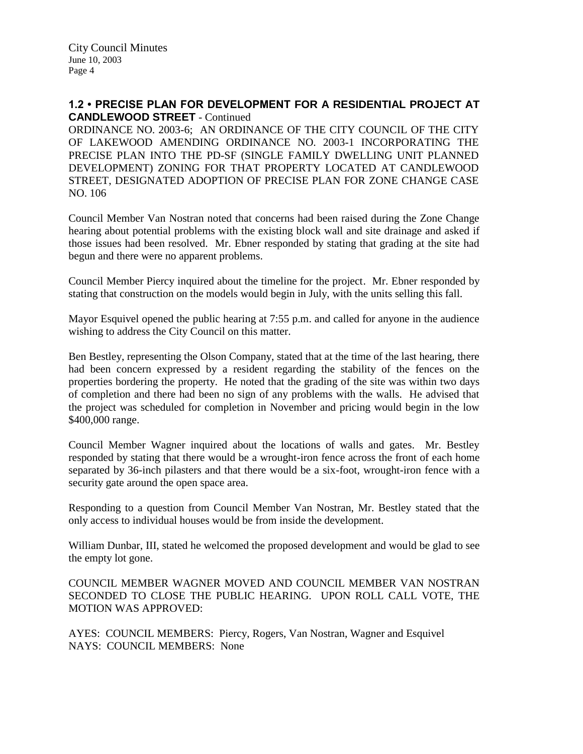### **1.2 • PRECISE PLAN FOR DEVELOPMENT FOR A RESIDENTIAL PROJECT AT CANDLEWOOD STREET** - Continued

ORDINANCE NO. 2003-6; AN ORDINANCE OF THE CITY COUNCIL OF THE CITY OF LAKEWOOD AMENDING ORDINANCE NO. 2003-1 INCORPORATING THE PRECISE PLAN INTO THE PD-SF (SINGLE FAMILY DWELLING UNIT PLANNED DEVELOPMENT) ZONING FOR THAT PROPERTY LOCATED AT CANDLEWOOD STREET, DESIGNATED ADOPTION OF PRECISE PLAN FOR ZONE CHANGE CASE NO. 106

Council Member Van Nostran noted that concerns had been raised during the Zone Change hearing about potential problems with the existing block wall and site drainage and asked if those issues had been resolved. Mr. Ebner responded by stating that grading at the site had begun and there were no apparent problems.

Council Member Piercy inquired about the timeline for the project. Mr. Ebner responded by stating that construction on the models would begin in July, with the units selling this fall.

Mayor Esquivel opened the public hearing at 7:55 p.m. and called for anyone in the audience wishing to address the City Council on this matter.

Ben Bestley, representing the Olson Company, stated that at the time of the last hearing, there had been concern expressed by a resident regarding the stability of the fences on the properties bordering the property. He noted that the grading of the site was within two days of completion and there had been no sign of any problems with the walls. He advised that the project was scheduled for completion in November and pricing would begin in the low \$400,000 range.

Council Member Wagner inquired about the locations of walls and gates. Mr. Bestley responded by stating that there would be a wrought-iron fence across the front of each home separated by 36-inch pilasters and that there would be a six-foot, wrought-iron fence with a security gate around the open space area.

Responding to a question from Council Member Van Nostran, Mr. Bestley stated that the only access to individual houses would be from inside the development.

William Dunbar, III, stated he welcomed the proposed development and would be glad to see the empty lot gone.

COUNCIL MEMBER WAGNER MOVED AND COUNCIL MEMBER VAN NOSTRAN SECONDED TO CLOSE THE PUBLIC HEARING. UPON ROLL CALL VOTE, THE MOTION WAS APPROVED:

AYES: COUNCIL MEMBERS: Piercy, Rogers, Van Nostran, Wagner and Esquivel NAYS: COUNCIL MEMBERS: None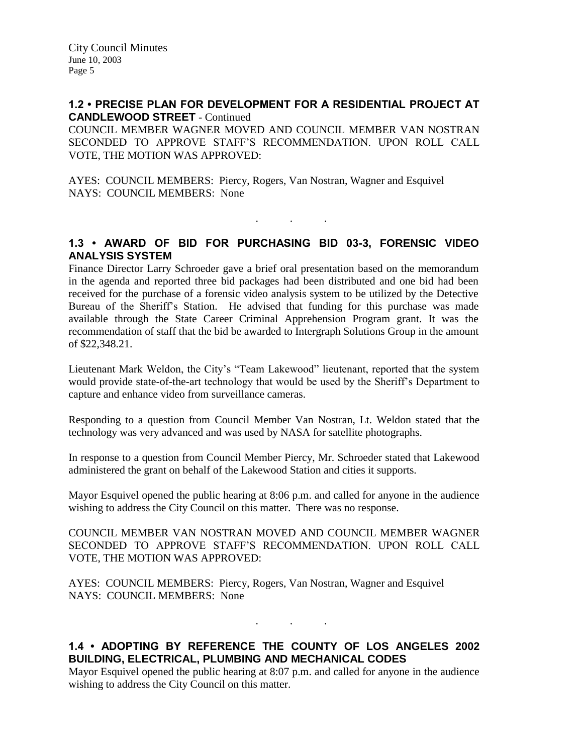### **1.2 • PRECISE PLAN FOR DEVELOPMENT FOR A RESIDENTIAL PROJECT AT CANDLEWOOD STREET** - Continued

COUNCIL MEMBER WAGNER MOVED AND COUNCIL MEMBER VAN NOSTRAN SECONDED TO APPROVE STAFF'S RECOMMENDATION. UPON ROLL CALL VOTE, THE MOTION WAS APPROVED:

AYES: COUNCIL MEMBERS: Piercy, Rogers, Van Nostran, Wagner and Esquivel NAYS: COUNCIL MEMBERS: None

# **1.3 • AWARD OF BID FOR PURCHASING BID 03-3, FORENSIC VIDEO ANALYSIS SYSTEM**

. . .

Finance Director Larry Schroeder gave a brief oral presentation based on the memorandum in the agenda and reported three bid packages had been distributed and one bid had been received for the purchase of a forensic video analysis system to be utilized by the Detective Bureau of the Sheriff's Station. He advised that funding for this purchase was made available through the State Career Criminal Apprehension Program grant. It was the recommendation of staff that the bid be awarded to Intergraph Solutions Group in the amount of \$22,348.21.

Lieutenant Mark Weldon, the City's "Team Lakewood" lieutenant, reported that the system would provide state-of-the-art technology that would be used by the Sheriff's Department to capture and enhance video from surveillance cameras.

Responding to a question from Council Member Van Nostran, Lt. Weldon stated that the technology was very advanced and was used by NASA for satellite photographs.

In response to a question from Council Member Piercy, Mr. Schroeder stated that Lakewood administered the grant on behalf of the Lakewood Station and cities it supports.

Mayor Esquivel opened the public hearing at 8:06 p.m. and called for anyone in the audience wishing to address the City Council on this matter. There was no response.

COUNCIL MEMBER VAN NOSTRAN MOVED AND COUNCIL MEMBER WAGNER SECONDED TO APPROVE STAFF'S RECOMMENDATION. UPON ROLL CALL VOTE, THE MOTION WAS APPROVED:

AYES: COUNCIL MEMBERS: Piercy, Rogers, Van Nostran, Wagner and Esquivel NAYS: COUNCIL MEMBERS: None

# **1.4 • ADOPTING BY REFERENCE THE COUNTY OF LOS ANGELES 2002 BUILDING, ELECTRICAL, PLUMBING AND MECHANICAL CODES**

. . .

Mayor Esquivel opened the public hearing at 8:07 p.m. and called for anyone in the audience wishing to address the City Council on this matter.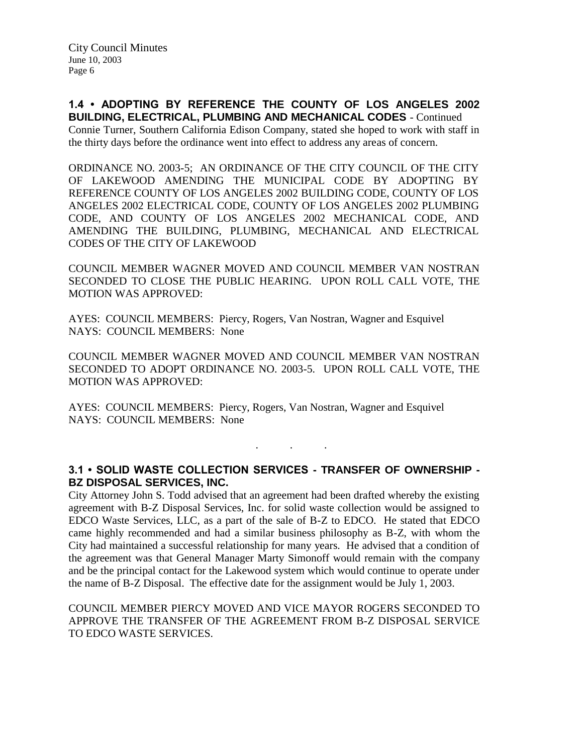**1.4 • ADOPTING BY REFERENCE THE COUNTY OF LOS ANGELES 2002 BUILDING, ELECTRICAL, PLUMBING AND MECHANICAL CODES** - Continued Connie Turner, Southern California Edison Company, stated she hoped to work with staff in the thirty days before the ordinance went into effect to address any areas of concern.

ORDINANCE NO. 2003-5; AN ORDINANCE OF THE CITY COUNCIL OF THE CITY OF LAKEWOOD AMENDING THE MUNICIPAL CODE BY ADOPTING BY REFERENCE COUNTY OF LOS ANGELES 2002 BUILDING CODE, COUNTY OF LOS ANGELES 2002 ELECTRICAL CODE, COUNTY OF LOS ANGELES 2002 PLUMBING CODE, AND COUNTY OF LOS ANGELES 2002 MECHANICAL CODE, AND AMENDING THE BUILDING, PLUMBING, MECHANICAL AND ELECTRICAL CODES OF THE CITY OF LAKEWOOD

COUNCIL MEMBER WAGNER MOVED AND COUNCIL MEMBER VAN NOSTRAN SECONDED TO CLOSE THE PUBLIC HEARING. UPON ROLL CALL VOTE, THE MOTION WAS APPROVED:

AYES: COUNCIL MEMBERS: Piercy, Rogers, Van Nostran, Wagner and Esquivel NAYS: COUNCIL MEMBERS: None

COUNCIL MEMBER WAGNER MOVED AND COUNCIL MEMBER VAN NOSTRAN SECONDED TO ADOPT ORDINANCE NO. 2003-5. UPON ROLL CALL VOTE, THE MOTION WAS APPROVED:

AYES: COUNCIL MEMBERS: Piercy, Rogers, Van Nostran, Wagner and Esquivel NAYS: COUNCIL MEMBERS: None

### **3.1 • SOLID WASTE COLLECTION SERVICES - TRANSFER OF OWNERSHIP - BZ DISPOSAL SERVICES, INC.**

. . .

City Attorney John S. Todd advised that an agreement had been drafted whereby the existing agreement with B-Z Disposal Services, Inc. for solid waste collection would be assigned to EDCO Waste Services, LLC, as a part of the sale of B-Z to EDCO. He stated that EDCO came highly recommended and had a similar business philosophy as B-Z, with whom the City had maintained a successful relationship for many years. He advised that a condition of the agreement was that General Manager Marty Simonoff would remain with the company and be the principal contact for the Lakewood system which would continue to operate under the name of B-Z Disposal. The effective date for the assignment would be July 1, 2003.

COUNCIL MEMBER PIERCY MOVED AND VICE MAYOR ROGERS SECONDED TO APPROVE THE TRANSFER OF THE AGREEMENT FROM B-Z DISPOSAL SERVICE TO EDCO WASTE SERVICES.